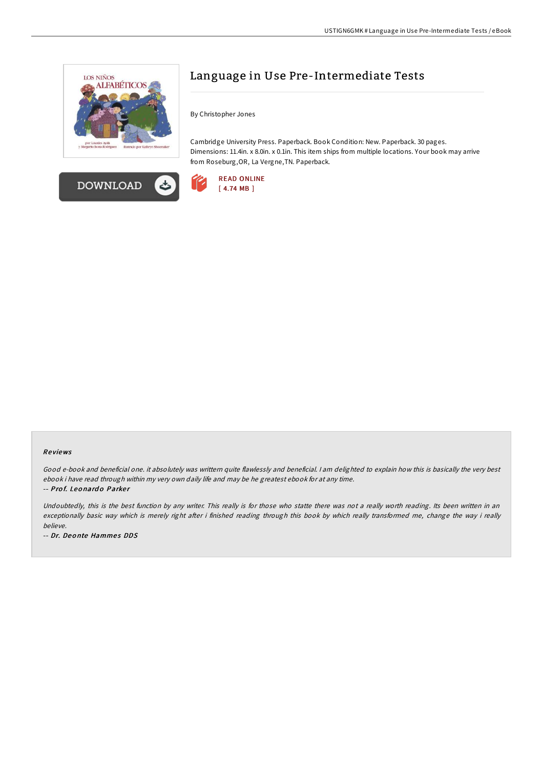



## Language in Use Pre-Intermediate Tests

By Christopher Jones

Cambridge University Press. Paperback. Book Condition: New. Paperback. 30 pages. Dimensions: 11.4in. x 8.0in. x 0.1in. This item ships from multiple locations. Your book may arrive from Roseburg,OR, La Vergne,TN. Paperback.



## Re views

Good e-book and beneficial one. it absolutely was writtern quite flawlessly and beneficial. <sup>I</sup> am delighted to explain how this is basically the very best ebook i have read through within my very own daily life and may be he greatest ebook for at any time. -- Prof. Leonardo Parker

Undoubtedly, this is the best function by any writer. This really is for those who statte there was not <sup>a</sup> really worth reading. Its been written in an exceptionally basic way which is merely right after i finished reading through this book by which really transformed me, change the way i really believe.

-- Dr. Deonte Hammes DDS